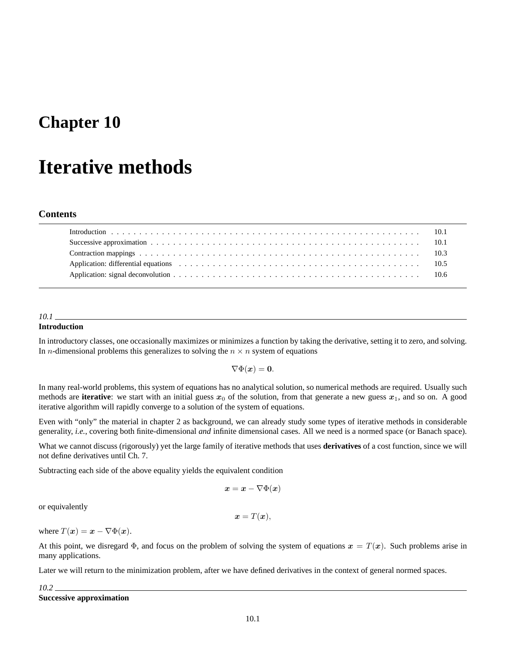## **Chapter 10**

# **Iterative methods**

### **Contents**

| Application: differential equations extension of the contract of the contract of the contract of the contract of the contract of the contract of the contract of the contract of the contract of the contract of the contract |  |
|-------------------------------------------------------------------------------------------------------------------------------------------------------------------------------------------------------------------------------|--|
|                                                                                                                                                                                                                               |  |

#### *10.1*

#### **Introduction**

In introductory classes, one occasionally maximizes or minimizes a function by taking the derivative, setting it to zero, and solving. In *n*-dimensional problems this generalizes to solving the  $n \times n$  system of equations

 $\nabla \Phi(x) = 0.$ 

In many real-world problems, this system of equations has no analytical solution, so numerical methods are required. Usually such methods are **iterative**: we start with an initial guess  $x_0$  of the solution, from that generate a new guess  $x_1$ , and so on. A good iterative algorithm will rapidly converge to a solution of the system of equations.

Even with "only" the material in chapter 2 as background, we can already study some types of iterative methods in considerable generality, *i.e.*, covering both finite-dimensional *and* infinite dimensional cases. All we need is a normed space (or Banach space).

What we cannot discuss (rigorously) yet the large family of iterative methods that uses **derivatives** of a cost function, since we will not define derivatives until Ch. 7.

Subtracting each side of the above equality yields the equivalent condition

$$
\boldsymbol{x} = \boldsymbol{x} - \nabla \Phi(\boldsymbol{x})
$$

or equivalently

$$
\boldsymbol{x} = T(\boldsymbol{x}),
$$

where  $T(x) = x - \nabla \Phi(x)$ .

At this point, we disregard  $\Phi$ , and focus on the problem of solving the system of equations  $x = T(x)$ . Such problems arise in many applications.

Later we will return to the minimization problem, after we have defined derivatives in the context of general normed spaces.

*10.2* **Successive approximation**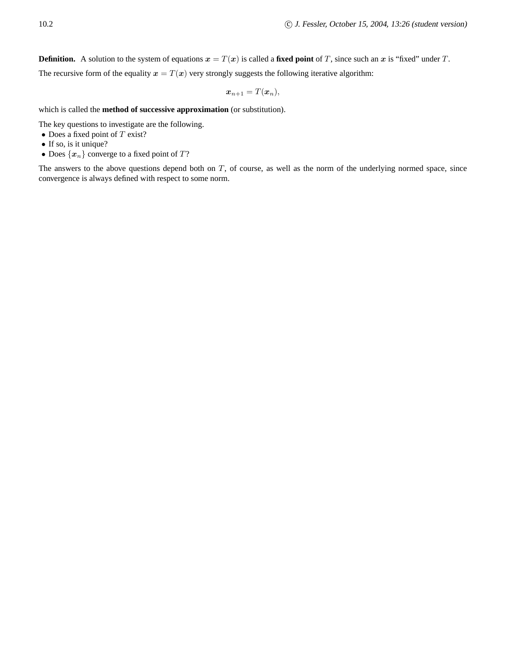**Definition.** A solution to the system of equations  $x = T(x)$  is called a **fixed point** of T, since such an x is "fixed" under T.

The recursive form of the equality  $x = T(x)$  very strongly suggests the following iterative algorithm:

$$
\boldsymbol{x}_{n+1}=T(\boldsymbol{x}_n),
$$

which is called the **method of successive approximation** (or substitution).

The key questions to investigate are the following.

- Does a fixed point of  $T$  exist?
- If so, is it unique?
- Does  $\{x_n\}$  converge to a fixed point of  $T$ ?

The answers to the above questions depend both on  $T$ , of course, as well as the norm of the underlying normed space, since convergence is always defined with respect to some norm.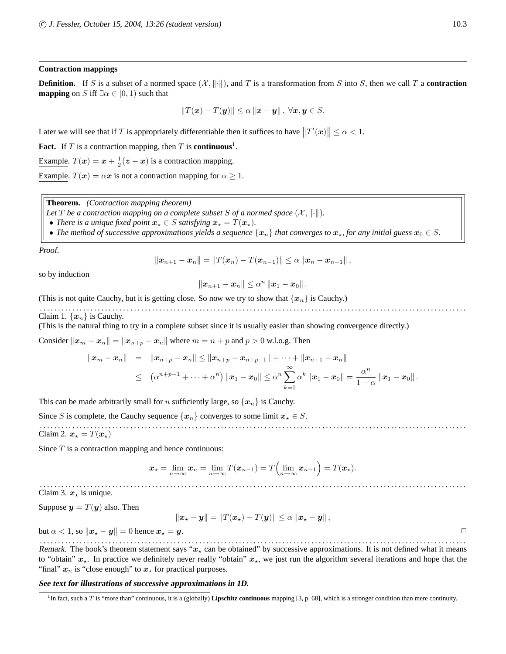#### **Contraction mappings**

**Definition.** If S is a subset of a normed space  $(X, \|\cdot\|)$ , and T is a transformation from S into S, then we call T a **contraction mapping** on S iff  $\exists \alpha \in [0, 1)$  such that

$$
||T(\mathbf{x}) - T(\mathbf{y})|| \leq \alpha ||\mathbf{x} - \mathbf{y}||, \ \forall \mathbf{x}, \mathbf{y} \in S.
$$

Later we will see that if T is appropriately differentiable then it suffices to have  $||T'(x)|| \leq \alpha < 1$ .

**Fact.** If T is a contraction mapping, then T is **continuous**<sup>1</sup>.

Example.  $T(x) = x + \frac{1}{2}(z - x)$  is a contraction mapping.

Example.  $T(x) = \alpha x$  is not a contraction mapping for  $\alpha \geq 1$ .

**Theorem.** *(Contraction mapping theorem)*

*Let* T *be a contraction mapping on a complete subset* S *of a normed space*  $(X, \|\cdot\|)$ *.* 

• *There is a unique fixed point*  $x_* \in S$  *satisfying*  $x_* = T(x_*)$ *.* 

• The method of successive approximations yields a sequence  $\{x_n\}$  that converges to  $x_r$ , for any initial guess  $x_0 \in S$ .

Proof.

$$
||x_{n+1}-x_n||=||T(x_n)-T(x_{n-1})||\leq \alpha ||x_n-x_{n-1}||,
$$

so by induction

$$
\|\boldsymbol{x}_{n+1}-\boldsymbol{x}_n\|\leq \alpha^n\,\|\boldsymbol{x}_1-\boldsymbol{x}_0\|.
$$

(This is not quite Cauchy, but it is getting close. So now we try to show that  $\{x_n\}$  is Cauchy.)

. . . . . . . . . . . . . . . . . . . . . . . . . . . . . . . . . . . . . . . . . . . . . . . . . . . . . . . . . . . . . . . . . . . . . . . . . . . . . . . . . . . . . . . . . . . . . . . . . . . . . . . . . . . . . . . . . . . . . . Claim 1.  $\{x_n\}$  is Cauchy.

(This is the natural thing to try in a complete subset since it is usually easier than showing convergence directly.)

Consider  $||x_m - x_n|| = ||x_{n+p} - x_n||$  where  $m = n + p$  and  $p > 0$  w.l.o.g. Then

$$
\begin{array}{lcl} \|x_m-x_n\| & = & \displaystyle \|x_{n+p}-x_n\|\leq \|x_{n+p}-x_{n+p-1}\|+\cdots+\|x_{n+1}-x_n\| \\ \\ & \leq & \displaystyle \left(\alpha^{n+p-1}+\cdots+\alpha^{n}\right)\|x_1-x_0\|\leq \alpha^{n}\sum\limits_{k=0}^{\infty}\alpha^{k}\left\|x_1-x_0\right\|=\frac{\alpha^{n}}{1-\alpha}\left\|x_1-x_0\right\|. \end{array}
$$

This can be made arbitrarily small for *n* sufficiently large, so  $\{x_n\}$  is Cauchy.

Since S is complete, the Cauchy sequence  $\{x_n\}$  converges to some limit  $x_* \in S$ .

. . . . . . . . . . . . . . . . . . . . . . . . . . . . . . . . . . . . . . . . . . . . . . . . . . . . . . . . . . . . . . . . . . . . . . . . . . . . . . . . . . . . . . . . . . . . . . . . . . . . . . . . . . . . . . . . . . . . . . Claim 2.  $x_{\star} = T(x_{\star})$ 

Since  $T$  is a contraction mapping and hence continuous:

$$
\boldsymbol{x}_\star = \lim_{n \to \infty} \boldsymbol{x}_n = \lim_{n \to \infty} T(\boldsymbol{x}_{n-1}) = T\left(\lim_{n \to \infty} \boldsymbol{x}_{n-1}\right) = T(\boldsymbol{x}_\star).
$$

. . . . . . . . . . . . . . . . . . . . . . . . . . . . . . . . . . . . . . . . . . . . . . . . . . . . . . . . . . . . . . . . . . . . . . . . . . . . . . . . . . . . . . . . . . . . . . . . . . . . . . . . . . . . . . . . . . . . . . Claim 3.  $x_{\star}$  is unique.

Suppose  $y = T(y)$  also. Then

 $\|\boldsymbol{x}_\star - \boldsymbol{y}\| = \|T(\boldsymbol{x}_\star) - T(\boldsymbol{y})\| \leq \alpha \|\boldsymbol{x}_\star - \boldsymbol{y}\|$ 

but  $\alpha < 1$ , so  $\|\boldsymbol{x}_\star - \boldsymbol{y}\| = 0$  hence  $\boldsymbol{x}_\star = \boldsymbol{y}$ .

. . . . . . . . . . . . . . . . . . . . . . . . . . . . . . . . . . . . . . . . . . . . . . . . . . . . . . . . . . . . . . . . . . . . . . . . . . . . . . . . . . . . . . . . . . . . . . . . . . . . . . . . . . . . . . . . . . . . . . Remark. The book's theorem statement says " $x_{\star}$  can be obtained" by successive approximations. It is not defined what it means to "obtain"  $x<sub>*</sub>$ . In practice we definitely never really "obtain"  $x<sub>*</sub>$ , we just run the algorithm several iterations and hope that the "final"  $x_n$  is "close enough" to  $x_{\star}$  for practical purposes.

#### **See text for illustrations of successive approximations in 1D.**

<sup>&</sup>lt;sup>1</sup>In fact, such a T is "more than" continuous, it is a (globally) **Lipschitz continuous** mapping [3, p. 68], which is a stronger condition than mere continuity.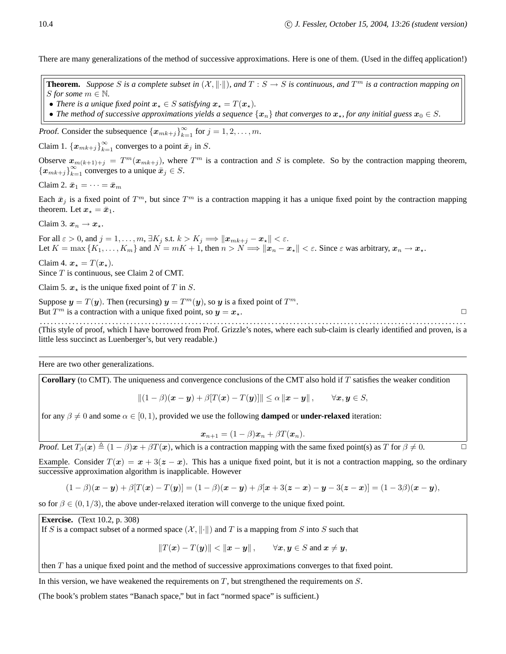There are many generalizations of the method of successive approximations. Here is one of them. (Used in the diffeq application!)

**Theorem.** Suppose S is a complete subset in  $(X, \|\cdot\|)$ , and  $T : S \to S$  is continuous, and  $T^m$  is a contraction mapping on *S* for some  $m \in \mathbb{N}$ .

- *There is a unique fixed point*  $x_* \in S$  *satisfying*  $x_* = T(x_*)$ *.*
- The method of successive approximations yields a sequence  $\{x_n\}$  that converges to  $x_*$ , for any initial guess  $x_0 \in S$ .

Proof. Consider the subsequence  $\{x_{mk+j}\}_{k=1}^{\infty}$  for  $j = 1, 2, ..., m$ .

Claim 1.  $\{x_{mk+j}\}_{k=1}^{\infty}$  converges to a point  $\bar{x}_j$  in S.

Observe  $x_{m(k+1)+j} = T^m(x_{mk+j})$ , where  $T^m$  is a contraction and S is complete. So by the contraction mapping theorem,  ${x_{mk+j}}_{k=1}^{\infty}$  converges to a unique  $\bar{x}_j \in S$ .

Claim 2. 
$$
\bar{x}_1 = \cdots = \bar{x}_m
$$

Each  $\bar{x}_j$  is a fixed point of  $T^m$ , but since  $T^m$  is a contraction mapping it has a unique fixed point by the contraction mapping theorem. Let  $x_* = \bar{x}_1$ .

Claim 3.  $x_n \rightarrow x_*$ .

For all  $\varepsilon > 0$ , and  $j = 1, \ldots, m, \exists K_j \text{ s.t. } k > K_j \Longrightarrow \| \bm{x}_{mk+j} - \bm{x}_\star \| < \varepsilon.$ Let  $K = \max\{K_1,\ldots,K_m\}$  and  $N = mK + 1$ , then  $n > N \Longrightarrow ||x_n - x_*|| < \varepsilon$ . Since  $\varepsilon$  was arbitrary,  $x_n \to x_*$ .

Claim 4.  $x_{\star} = T(x_{\star}).$ 

Since T is continuous, see Claim 2 of CMT.

Claim 5.  $x_{\star}$  is the unique fixed point of T in S.

Suppose  $y = T(y)$ . Then (recursing)  $y = T^m(y)$ , so y is a fixed point of  $T^m$ . But  $T^m$  is a contraction with a unique fixed point, so  $y = x_*$ .

. . . . . . . . . . . . . . . . . . . . . . . . . . . . . . . . . . . . . . . . . . . . . . . . . . . . . . . . . . . . . . . . . . . . . . . . . . . . . . . . . . . . . . . . . . . . . . . . . . . . . . . . . . . . . . . . . . . . . . (This style of proof, which I have borrowed from Prof. Grizzle's notes, where each sub-claim is clearly identified and proven, is a little less succinct as Luenberger's, but very readable.)

Here are two other generalizations.

**Corollary** (to CMT). The uniqueness and convergence conclusions of the CMT also hold if T satisfies the weaker condition

$$
\|(1-\beta)(\boldsymbol{x}-\boldsymbol{y})+\beta[T(\boldsymbol{x})-T(\boldsymbol{y})]\| \leq \alpha \|\boldsymbol{x}-\boldsymbol{y}\|, \qquad \forall \boldsymbol{x}, \boldsymbol{y} \in S,
$$

for any  $\beta \neq 0$  and some  $\alpha \in [0, 1)$ , provided we use the following **damped** or **under-relaxed** iteration:

$$
\boldsymbol{x}_{n+1} = (1-\beta)\boldsymbol{x}_n + \beta T(\boldsymbol{x}_n).
$$

Proof. Let  $T_\beta(\mathbf{x}) \triangleq (1 - \beta)\mathbf{x} + \beta T(\mathbf{x})$ , which is a contraction mapping with the same fixed point(s) as T for  $\beta \neq 0$ .

Example. Consider  $T(x) = x + 3(z - x)$ . This has a unique fixed point, but it is not a contraction mapping, so the ordinary successive approximation algorithm is inapplicable. However

$$
(1 - \beta)(\mathbf{x} - \mathbf{y}) + \beta[T(\mathbf{x}) - T(\mathbf{y})] = (1 - \beta)(\mathbf{x} - \mathbf{y}) + \beta[\mathbf{x} + 3(\mathbf{z} - \mathbf{x}) - \mathbf{y} - 3(\mathbf{z} - \mathbf{x})] = (1 - 3\beta)(\mathbf{x} - \mathbf{y}),
$$

so for  $\beta \in (0, 1/3)$ , the above under-relaxed iteration will converge to the unique fixed point.

**Exercise.** (Text 10.2, p. 308)

If S is a compact subset of a normed space  $(X, \|\cdot\|)$  and T is a mapping from S into S such that

 $||T(\mathbf{x}) - T(\mathbf{y})|| < ||\mathbf{x} - \mathbf{y}||$ ,  $\forall \mathbf{x}, \mathbf{y} \in S$  and  $\mathbf{x} \neq \mathbf{y}$ ,

then T has a unique fixed point and the method of successive approximations converges to that fixed point.

In this version, we have weakened the requirements on  $T$ , but strengthened the requirements on  $S$ .

(The book's problem states "Banach space," but in fact "normed space" is sufficient.)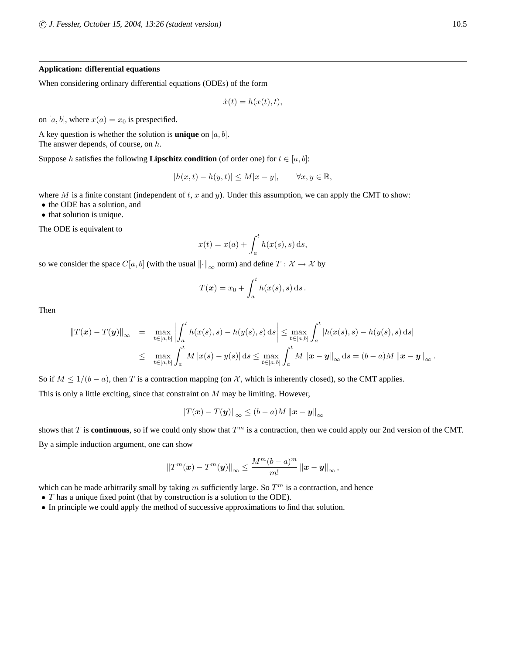#### **Application: differential equations**

When considering ordinary differential equations (ODEs) of the form

$$
\dot{x}(t) = h(x(t), t),
$$

on [a, b], where  $x(a) = x_0$  is prespecified.

A key question is whether the solution is **unique** on  $[a, b]$ . The answer depends, of course, on  $h$ .

Suppose h satisfies the following **Lipschitz condition** (of order one) for  $t \in [a, b]$ :

$$
|h(x,t) - h(y,t)| \le M|x - y|, \qquad \forall x, y \in \mathbb{R},
$$

where M is a finite constant (independent of  $t$ ,  $x$  and  $y$ ). Under this assumption, we can apply the CMT to show:

• the ODE has a solution, and

• that solution is unique.

The ODE is equivalent to

$$
x(t) = x(a) + \int_a^t h(x(s), s) \,ds,
$$

so we consider the space  $C[a, b]$  (with the usual  $\left\| \cdot \right\|_{\infty}$  norm) and define  $T : \mathcal{X} \to \mathcal{X}$  by

$$
T(\boldsymbol{x}) = x_0 + \int_a^t h(x(s), s) \, ds.
$$

Then

$$
||T(\mathbf{x}) - T(\mathbf{y})||_{\infty} = \max_{t \in [a,b]} \left| \int_{a}^{t} h(x(s), s) - h(y(s), s) ds \right| \leq \max_{t \in [a,b]} \int_{a}^{t} |h(x(s), s) - h(y(s), s) ds|
$$
  
 
$$
\leq \max_{t \in [a,b]} \int_{a}^{t} M |x(s) - y(s)| ds \leq \max_{t \in [a,b]} \int_{a}^{t} M ||\mathbf{x} - \mathbf{y}||_{\infty} ds = (b - a)M ||\mathbf{x} - \mathbf{y}||_{\infty}.
$$

So if  $M \leq 1/(b-a)$ , then T is a contraction mapping (on X, which is inherently closed), so the CMT applies. This is only a little exciting, since that constraint on  $M$  may be limiting. However,

$$
\left\|T(\boldsymbol{x}) - T(\boldsymbol{y})\right\|_{\infty} \le (b - a)M \left\|\boldsymbol{x} - \boldsymbol{y}\right\|_{\infty}
$$

shows that  $T$  is **continuous**, so if we could only show that  $T<sup>m</sup>$  is a contraction, then we could apply our 2nd version of the CMT. By a simple induction argument, one can show

$$
\left\|T^m(\boldsymbol{x})-T^m(\boldsymbol{y})\right\|_{\infty} \leq \frac{M^m(b-a)^m}{m!} \left\|\boldsymbol{x}-\boldsymbol{y}\right\|_{\infty},
$$

which can be made arbitrarily small by taking m sufficiently large. So  $T<sup>m</sup>$  is a contraction, and hence

- $T$  has a unique fixed point (that by construction is a solution to the ODE).
- In principle we could apply the method of successive approximations to find that solution.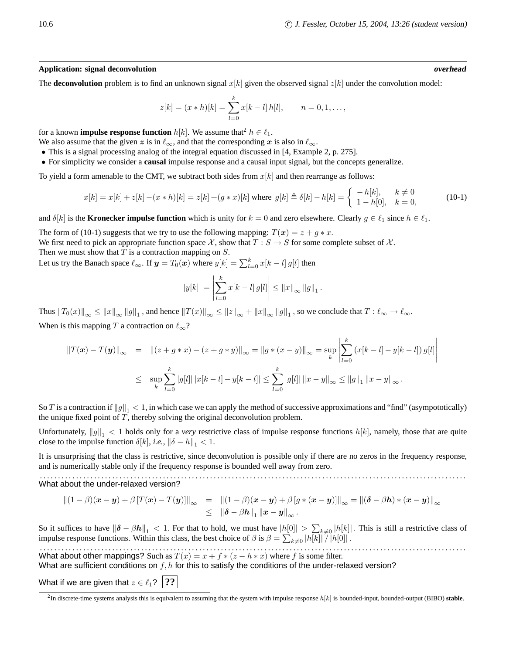#### **Application: signal deconvolution overhead**

The **deconvolution** problem is to find an unknown signal  $x[k]$  given the observed signal  $z[k]$  under the convolution model:

$$
z[k] = (x * h)[k] = \sum_{l=0}^{k} x[k-l] h[l], \qquad n = 0, 1, \dots,
$$

for a known **impulse response function**  $h[k]$ . We assume that<sup>2</sup>  $h \in \ell_1$ .

We also assume that the given z is in  $\ell_{\infty}$ , and that the corresponding x is also in  $\ell_{\infty}$ .

- This is a signal processing analog of the integral equation discussed in [4, Example 2, p. 275].
- For simplicity we consider a **causal** impulse response and a causal input signal, but the concepts generalize.

To yield a form amenable to the CMT, we subtract both sides from  $x[k]$  and then rearrange as follows:

$$
x[k] = x[k] + z[k] - (x * h)[k] = z[k] + (g * x)[k] \text{ where } g[k] \triangleq \delta[k] - h[k] = \begin{cases} -h[k], & k \neq 0\\ 1 - h[0], & k = 0, \end{cases}
$$
(10-1)

and  $\delta[k]$  is the **Kronecker impulse function** which is unity for  $k = 0$  and zero elsewhere. Clearly  $g \in \ell_1$  since  $h \in \ell_1$ .

The form of (10-1) suggests that we try to use the following mapping:  $T(x) = z + g * x$ . We first need to pick an appropriate function space X, show that  $T : S \to S$  for some complete subset of X. Then we must show that  $T$  is a contraction mapping on  $S$ .

Let us try the Banach space  $\ell_{\infty}.$  If  $\bm{y} = T_0(\bm{x})$  where  $y[k] = \sum_{l=0}^k x[k-l] \, g[l]$  then

$$
|y[k]| = \left|\sum_{l=0}^{k} x[k-l] g[l]\right| \leq ||x||_{\infty} ||g||_1.
$$

Thus  $||T_0(x)||_{\infty} \le ||x||_{\infty} ||g||_1$ , and hence  $||T(x)||_{\infty} \le ||z||_{\infty} + ||x||_{\infty} ||g||_1$ , so we conclude that  $T: \ell_{\infty} \to \ell_{\infty}$ . When is this mapping T a contraction on  $\ell_{\infty}$ ?

$$
\begin{array}{rcl} \|T(\pmb{x}) - T(\pmb{y})\|_{\infty} & = & \left\| (z + g * x) - (z + g * y) \right\|_{\infty} = \|g * (x - y)\|_{\infty} = \sup_{k} \left| \sum_{l=0}^{k} \left( x[k - l] - y[k - l] \right) g[l] \right| \\ \\ & \leq & \sup_{k} \sum_{l=0}^{k} |g[l]| \left| x[k - l] - y[k - l] \right| \leq \sum_{l=0}^{k} |g[l]| \left\| x - y \right\|_{\infty} \leq \|g\|_{1} \left\| x - y \right\|_{\infty} .\end{array}
$$

So T is a contraction if  $||g||_1 < 1$ , in which case we can apply the method of successive approximations and "find" (asympototically) the unique fixed point of  $T$ , thereby solving the original deconvolution problem.

Unfortunately,  $||g||_1 < 1$  holds only for a *very* restrictive class of impulse response functions  $h[k]$ , namely, those that are quite close to the impulse function  $\delta[k]$ , *i.e.*,  $\|\delta - h\|_1 < 1$ .

It is unsurprising that the class is restrictive, since deconvolution is possible only if there are no zeros in the frequency response, and is numerically stable only if the frequency response is bounded well away from zero.

. . . . . . . . . . . . . . . . . . . . . . . . . . . . . . . . . . . . . . . . . . . . . . . . . . . . . . . . . . . . . . . . . . . . . . . . . . . . . . . . . . . . . . . . . . . . . . . . . . . . . . . . . . . . . . . . . . . . . . What about the under-relaxed version?

$$
\begin{array}{rcl}\n\left\|\left(1-\beta\right)(\boldsymbol{x}-\boldsymbol{y})+\beta\left[T(\boldsymbol{x})-T(\boldsymbol{y})\right]\right\|_{\infty} & = & \left\|\left(1-\beta\right)(\boldsymbol{x}-\boldsymbol{y})+\beta\left[g\ast(\boldsymbol{x}-\boldsymbol{y})\right]\right\|_{\infty} = \left\|\left(\boldsymbol{\delta}-\beta\boldsymbol{h}\right)\ast(\boldsymbol{x}-\boldsymbol{y})\right\|_{\infty} \\
& \leq & \left\|\boldsymbol{\delta}-\beta\boldsymbol{h}\right\|_{1}\left\|\boldsymbol{x}-\boldsymbol{y}\right\|_{\infty}.\n\end{array}
$$

So it suffices to have  $\|\boldsymbol{\delta} - \beta \boldsymbol{h}\|_1 < 1$ . For that to hold, we must have  $|h[0]| > \sum_{k\neq 0} |h[k]|$ . This is still a restrictive class of impulse response functions. Within this class, the best choice of  $\beta$  is  $\beta = \sum_{k\neq 0} |h[k]| / |h[0]|$ .

. . . . . . . . . . . . . . . . . . . . . . . . . . . . . . . . . . . . . . . . . . . . . . . . . . . . . . . . . . . . . . . . . . . . . . . . . . . . . . . . . . . . . . . . . . . . . . . . . . . . . . . . . . . . . . . . . . . . . . What about other mappings? Such as  $T(x) = x + f * (z - h * x)$  where f is some filter. What are sufficient conditions on  $f, h$  for this to satisfy the conditions of the under-relaxed version?

What if we are given that  $z \in \ell_1$ ? **??** 

 ${}^{2}$ In discrete-time systems analysis this is equivalent to assuming that the system with impulse response  $h[k]$  is bounded-input, bounded-output (BIBO) stable.